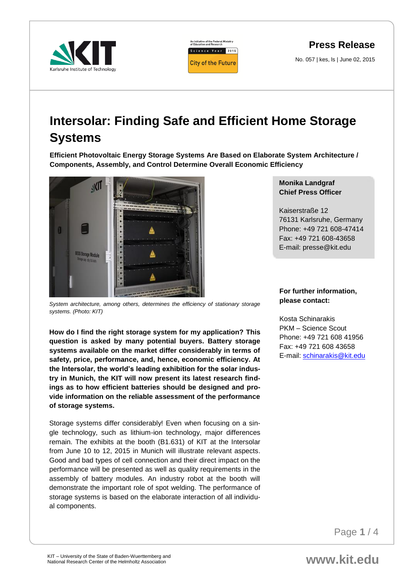



## **Press Release**

No. 057 | kes, ls | June 02, 2015

## **Intersolar: Finding Safe and Efficient Home Storage Systems**

**Efficient Photovoltaic Energy Storage Systems Are Based on Elaborate System Architecture / Components, Assembly, and Control Determine Overall Economic Efficiency** 



*System architecture, among others, determines the efficiency of stationary storage systems. (Photo: KIT)*

**How do I find the right storage system for my application? This question is asked by many potential buyers. Battery storage systems available on the market differ considerably in terms of safety, price, performance, and, hence, economic efficiency. At the Intersolar, the world's leading exhibition for the solar industry in Munich, the KIT will now present its latest research findings as to how efficient batteries should be designed and provide information on the reliable assessment of the performance of storage systems.**

Storage systems differ considerably! Even when focusing on a single technology, such as lithium-ion technology, major differences remain. The exhibits at the booth (B1.631) of KIT at the Intersolar from June 10 to 12, 2015 in Munich will illustrate relevant aspects. Good and bad types of cell connection and their direct impact on the performance will be presented as well as quality requirements in the assembly of battery modules. An industry robot at the booth will demonstrate the important role of spot welding. The performance of storage systems is based on the elaborate interaction of all individual components.

## **Monika Landgraf Chief Press Officer**

Kaiserstraße 12 76131 Karlsruhe, Germany Phone: +49 721 608-47414 Fax: +49 721 608-43658 E-mail: presse@kit.edu

## **For further information, please contact:**

Kosta Schinarakis PKM – Science Scout Phone: +49 721 608 41956 Fax: +49 721 608 43658 E-mail: [schinarakis@kit.edu](mailto:schinarakis@kit.edu)

Page **1** / 4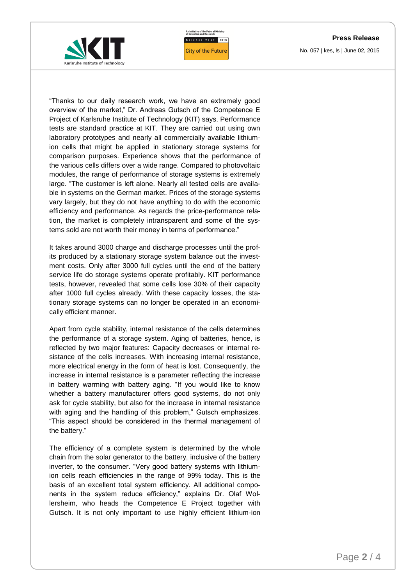**Press Release**



An Initiative of the Federal Ministry<br>of Education and Research Science Year 2015 **City of the Future** 

No. 057 | kes, ls | June 02, 2015

"Thanks to our daily research work, we have an extremely good overview of the market," Dr. Andreas Gutsch of the Competence E Project of Karlsruhe Institute of Technology (KIT) says. Performance tests are standard practice at KIT. They are carried out using own laboratory prototypes and nearly all commercially available lithiumion cells that might be applied in stationary storage systems for comparison purposes. Experience shows that the performance of the various cells differs over a wide range. Compared to photovoltaic modules, the range of performance of storage systems is extremely large. "The customer is left alone. Nearly all tested cells are available in systems on the German market. Prices of the storage systems vary largely, but they do not have anything to do with the economic efficiency and performance. As regards the price-performance relation, the market is completely intransparent and some of the systems sold are not worth their money in terms of performance."

It takes around 3000 charge and discharge processes until the profits produced by a stationary storage system balance out the investment costs. Only after 3000 full cycles until the end of the battery service life do storage systems operate profitably. KIT performance tests, however, revealed that some cells lose 30% of their capacity after 1000 full cycles already. With these capacity losses, the stationary storage systems can no longer be operated in an economically efficient manner.

Apart from cycle stability, internal resistance of the cells determines the performance of a storage system. Aging of batteries, hence, is reflected by two major features: Capacity decreases or internal resistance of the cells increases. With increasing internal resistance, more electrical energy in the form of heat is lost. Consequently, the increase in internal resistance is a parameter reflecting the increase in battery warming with battery aging. "If you would like to know whether a battery manufacturer offers good systems, do not only ask for cycle stability, but also for the increase in internal resistance with aging and the handling of this problem," Gutsch emphasizes. "This aspect should be considered in the thermal management of the battery."

The efficiency of a complete system is determined by the whole chain from the solar generator to the battery, inclusive of the battery inverter, to the consumer. "Very good battery systems with lithiumion cells reach efficiencies in the range of 99% today. This is the basis of an excellent total system efficiency. All additional components in the system reduce efficiency," explains Dr. Olaf Wollersheim, who heads the Competence E Project together with Gutsch. It is not only important to use highly efficient lithium-ion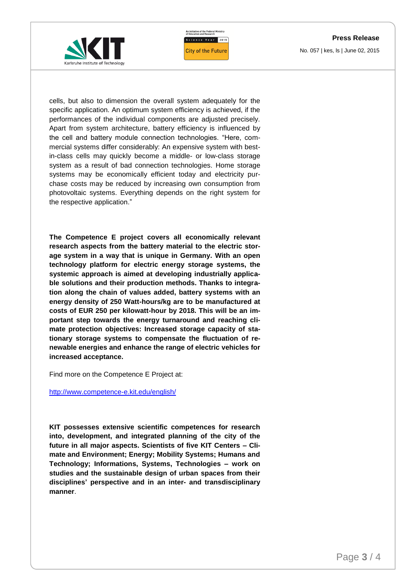**Press Release** No. 057 | kes, ls | June 02, 2015





cells, but also to dimension the overall system adequately for the specific application. An optimum system efficiency is achieved, if the performances of the individual components are adjusted precisely. Apart from system architecture, battery efficiency is influenced by the cell and battery module connection technologies. "Here, commercial systems differ considerably: An expensive system with bestin-class cells may quickly become a middle- or low-class storage system as a result of bad connection technologies. Home storage systems may be economically efficient today and electricity purchase costs may be reduced by increasing own consumption from photovoltaic systems. Everything depends on the right system for the respective application."

**The Competence E project covers all economically relevant research aspects from the battery material to the electric storage system in a way that is unique in Germany. With an open technology platform for electric energy storage systems, the systemic approach is aimed at developing industrially applicable solutions and their production methods. Thanks to integration along the chain of values added, battery systems with an energy density of 250 Watt-hours/kg are to be manufactured at costs of EUR 250 per kilowatt-hour by 2018. This will be an important step towards the energy turnaround and reaching climate protection objectives: Increased storage capacity of stationary storage systems to compensate the fluctuation of renewable energies and enhance the range of electric vehicles for increased acceptance.** 

Find more on the Competence E Project at:

<http://www.competence-e.kit.edu/english/>

**KIT possesses extensive scientific competences for research into, development, and integrated planning of the city of the future in all major aspects. Scientists of five KIT Centers – Climate and Environment; Energy; Mobility Systems; Humans and Technology; Informations, Systems, Technologies – work on studies and the sustainable design of urban spaces from their disciplines' perspective and in an inter- and transdisciplinary manner**.